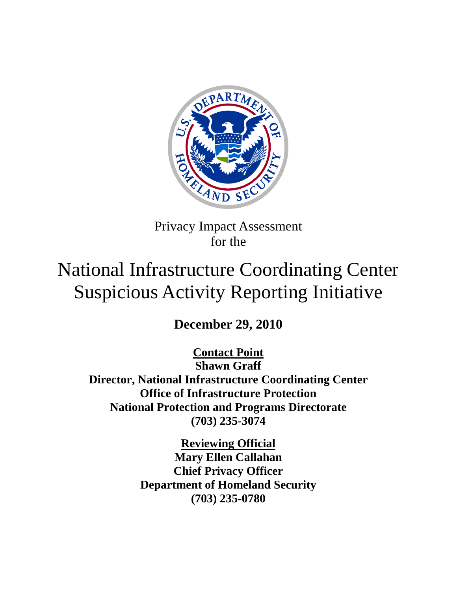

Privacy Impact Assessment for the

# National Infrastructure Coordinating Center Suspicious Activity Reporting Initiative

**December 29, 2010**

**Contact Point**

**National Protection and Programs Directorate (703) 235-3074 Shawn Graff Director, National Infrastructure Coordinating Center Office of Infrastructure Protection**

> **Reviewing Official Mary Ellen Callahan Chief Privacy Officer Department of Homeland Security (703) 235-0780**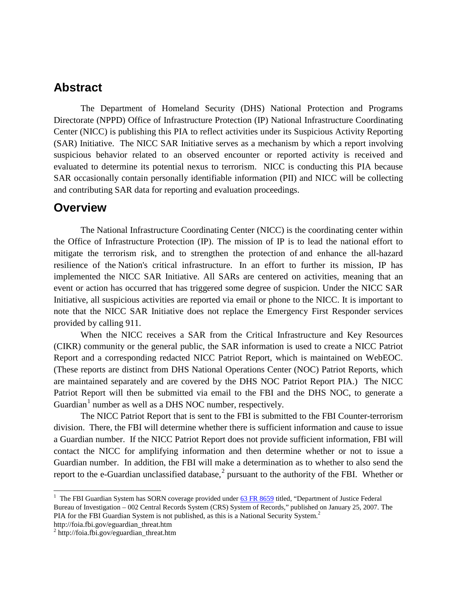### **Abstract**

The Department of Homeland Security (DHS) National Protection and Programs Directorate (NPPD) Office of Infrastructure Protection (IP) National Infrastructure Coordinating Center (NICC) is publishing this PIA to reflect activities under its Suspicious Activity Reporting (SAR) Initiative. The NICC SAR Initiative serves as a mechanism by which a report involving suspicious behavior related to an observed encounter or reported activity is received and evaluated to determine its potential nexus to terrorism. NICC is conducting this PIA because SAR occasionally contain personally identifiable information (PII) and NICC will be collecting and contributing SAR data for reporting and evaluation proceedings.

#### **Overview**

The National Infrastructure Coordinating Center (NICC) is the coordinating center within the Office of Infrastructure Protection (IP). The mission of IP is to lead the national effort to mitigate the terrorism risk, and to strengthen the protection of and enhance the all-hazard resilience of the Nation's critical infrastructure. In an effort to further its mission, IP has implemented the NICC SAR Initiative. All SARs are centered on activities, meaning that an event or action has occurred that has triggered some degree of suspicion. Under the NICC SAR Initiative, all suspicious activities are reported via email or phone to the NICC. It is important to note that the NICC SAR Initiative does not replace the Emergency First Responder services provided by calling 911.

When the NICC receives a SAR from the Critical Infrastructure and Key Resources (CIKR) community or the general public, the SAR information is used to create a NICC Patriot Report and a corresponding redacted NICC Patriot Report, which is maintained on WebEOC. (These reports are distinct from DHS National Operations Center (NOC) Patriot Reports, which are maintained separately and are covered by the DHS NOC Patriot Report PIA.) The NICC Patriot Report will then be submitted via email to the FBI and the DHS NOC, to generate a Guardian<sup>[1](#page-1-0)</sup> number as well as a DHS NOC number, respectively.

The NICC Patriot Report that is sent to the FBI is submitted to the FBI Counter-terrorism division. There, the FBI will determine whether there is sufficient information and cause to issue a Guardian number. If the NICC Patriot Report does not provide sufficient information, FBI will contact the NICC for amplifying information and then determine whether or not to issue a Guardian number. In addition, the FBI will make a determination as to whether to also send the report to the e-Guardian unclassified database,<sup>[2](#page-1-1)</sup> pursuant to the authority of the FBI. Whether or

http://foia.fbi.gov/eguardian\_threat.htm

<span id="page-1-0"></span><sup>&</sup>lt;sup>1</sup> The FBI Guardian System has SORN coverage provided under [63 FR 8659](http://foia.fbi.gov/privacy_systems/63fr8659.htm) titled, "Department of Justice Federal Bureau of Investigation – 002 Central Records System (CRS) System of Records," published on January 25, 2007. The PIA for the FBI Guardian System is not published, as this is a National Security System.<sup>2</sup>

<span id="page-1-1"></span> $2$  http://foia.fbi.gov/eguardian\_threat.htm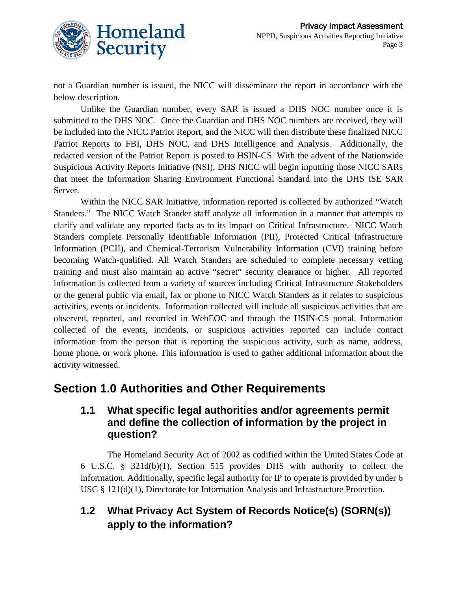

not a Guardian number is issued, the NICC will disseminate the report in accordance with the below description.

Unlike the Guardian number, every SAR is issued a DHS NOC number once it is submitted to the DHS NOC. Once the Guardian and DHS NOC numbers are received, they will be included into the NICC Patriot Report, and the NICC will then distribute these finalized NICC Patriot Reports to FBI, DHS NOC, and DHS Intelligence and Analysis. Additionally, the redacted version of the Patriot Report is posted to HSIN-CS. With the advent of the Nationwide Suspicious Activity Reports Initiative (NSI), DHS NICC will begin inputting those NICC SARs that meet the Information Sharing Environment Functional Standard into the DHS ISE SAR Server.

Within the NICC SAR Initiative, information reported is collected by authorized "Watch Standers." The NICC Watch Stander staff analyze all information in a manner that attempts to clarify and validate any reported facts as to its impact on Critical Infrastructure. NICC Watch Standers complete Personally Identifiable Information (PII), Protected Critical Infrastructure Information (PCII), and Chemical-Terrorism Vulnerability Information (CVI) training before becoming Watch-qualified. All Watch Standers are scheduled to complete necessary vetting training and must also maintain an active "secret" security clearance or higher. All reported information is collected from a variety of sources including Critical Infrastructure Stakeholders or the general public via email, fax or phone to NICC Watch Standers as it relates to suspicious activities, events or incidents. Information collected will include all suspicious activities that are observed, reported, and recorded in WebEOC and through the HSIN-CS portal. Information collected of the events, incidents, or suspicious activities reported can include contact information from the person that is reporting the suspicious activity, such as name, address, home phone, or work phone. This information is used to gather additional information about the activity witnessed.

### **Section 1.0 Authorities and Other Requirements**

### **1.1 What specific legal authorities and/or agreements permit and define the collection of information by the project in question?**

The Homeland Security Act of 2002 as codified within the United States Code at 6 U.S.C. § 321d(b)(1), Section 515 provides DHS with authority to collect the information. Additionally, specific legal authority for IP to operate is provided by under 6 USC § 121(d)(1), Directorate for Information Analysis and Infrastructure Protection.

### **1.2 What Privacy Act System of Records Notice(s) (SORN(s)) apply to the information?**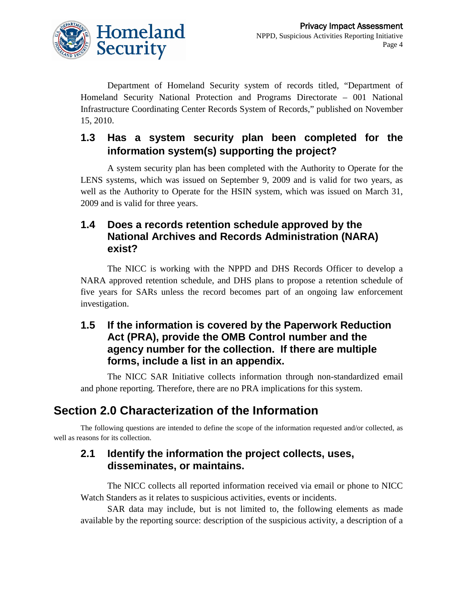

Department of Homeland Security system of records titled, "Department of Homeland Security National Protection and Programs Directorate – 001 National Infrastructure Coordinating Center Records System of Records," published on November 15, 2010.

### **1.3 Has a system security plan been completed for the information system(s) supporting the project?**

A system security plan has been completed with the Authority to Operate for the LENS systems, which was issued on September 9, 2009 and is valid for two years, as well as the Authority to Operate for the HSIN system, which was issued on March 31, 2009 and is valid for three years.

### **1.4 Does a records retention schedule approved by the National Archives and Records Administration (NARA) exist?**

The NICC is working with the NPPD and DHS Records Officer to develop a NARA approved retention schedule, and DHS plans to propose a retention schedule of five years for SARs unless the record becomes part of an ongoing law enforcement investigation.

### **1.5 If the information is covered by the Paperwork Reduction Act (PRA), provide the OMB Control number and the agency number for the collection. If there are multiple forms, include a list in an appendix.**

The NICC SAR Initiative collects information through non-standardized email and phone reporting. Therefore, there are no PRA implications for this system.

# **Section 2.0 Characterization of the Information**

The following questions are intended to define the scope of the information requested and/or collected, as well as reasons for its collection.

### **2.1 Identify the information the project collects, uses, disseminates, or maintains.**

The NICC collects all reported information received via email or phone to NICC Watch Standers as it relates to suspicious activities, events or incidents.

SAR data may include, but is not limited to, the following elements as made available by the reporting source: description of the suspicious activity, a description of a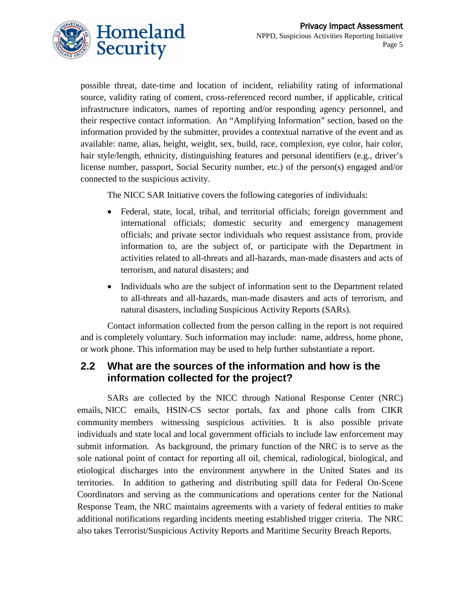

possible threat, date-time and location of incident, reliability rating of informational source, validity rating of content, cross-referenced record number, if applicable, critical infrastructure indicators, names of reporting and/or responding agency personnel, and their respective contact information. An "Amplifying Information" section, based on the information provided by the submitter, provides a contextual narrative of the event and as available: name, alias, height, weight, sex, build, race, complexion, eye color, hair color, hair style/length, ethnicity, distinguishing features and personal identifiers (e.g., driver's license number, passport, Social Security number, etc.) of the person(s) engaged and/or connected to the suspicious activity.

The NICC SAR Initiative covers the following categories of individuals:

- Federal, state, local, tribal, and territorial officials; foreign government and international officials; domestic security and emergency management officials; and private sector individuals who request assistance from, provide information to, are the subject of, or participate with the Department in activities related to all-threats and all-hazards, man-made disasters and acts of terrorism, and natural disasters; and
- Individuals who are the subject of information sent to the Department related to all-threats and all-hazards, man-made disasters and acts of terrorism, and natural disasters, including Suspicious Activity Reports (SARs).

Contact information collected from the person calling in the report is not required and is completely voluntary. Such information may include: name, address, home phone, or work phone. This information may be used to help further substantiate a report.

### **2.2 What are the sources of the information and how is the information collected for the project?**

SARs are collected by the NICC through National Response Center (NRC) emails, NICC emails, HSIN-CS sector portals, fax and phone calls from CIKR community members witnessing suspicious activities. It is also possible private individuals and state local and local government officials to include law enforcement may submit information. As background, the primary function of the NRC is to serve as the sole national point of contact for reporting all oil, chemical, radiological, biological, and etiological discharges into the environment anywhere in the United States and its territories. In addition to gathering and distributing spill data for Federal On-Scene Coordinators and serving as the communications and operations center for the National Response Team, the NRC maintains agreements with a variety of federal entities to make additional notifications regarding incidents meeting established trigger criteria. The NRC also takes Terrorist/Suspicious Activity Reports and Maritime Security Breach Reports.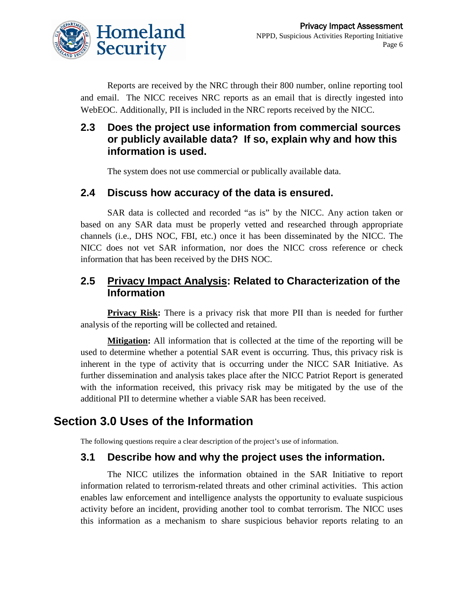

Reports are received by the NRC through their 800 number, online reporting tool and email. The NICC receives NRC reports as an email that is directly ingested into WebEOC. Additionally, PII is included in the NRC reports received by the NICC.

### **2.3 Does the project use information from commercial sources or publicly available data? If so, explain why and how this information is used.**

The system does not use commercial or publically available data.

#### **2.4 Discuss how accuracy of the data is ensured.**

SAR data is collected and recorded "as is" by the NICC. Any action taken or based on any SAR data must be properly vetted and researched through appropriate channels (i.e., DHS NOC, FBI, etc.) once it has been disseminated by the NICC. The NICC does not vet SAR information, nor does the NICC cross reference or check information that has been received by the DHS NOC.

### **2.5 Privacy Impact Analysis: Related to Characterization of the Information**

**Privacy Risk:** There is a privacy risk that more PII than is needed for further analysis of the reporting will be collected and retained.

**Mitigation :** All information that is collected at the time of the reporting will be used to determine whether a potential SAR event is occurring. Thus, this privacy risk is inherent in the type of activity that is occurring under the NICC SAR Initiative. As further dissemination and analysis takes place after the NICC Patriot Report is generated with the information received, this privacy risk may be mitigated by the use of the additional PII to determine whether a viable SAR has been received.

# **Section 3.0 Uses of the Information**

The following questions require a clear description of the project's use of information.

### **3.1 Describe how and why the project uses the information.**

The NICC utilizes the information obtained in the SAR Initiative to report information related to terrorism-related threats and other criminal activities. This action enables law enforcement and intelligence analysts the opportunity to evaluate suspicious activity before an incident, providing another tool to combat terrorism. The NICC uses this information as a mechanism to share suspicious behavior reports relating to an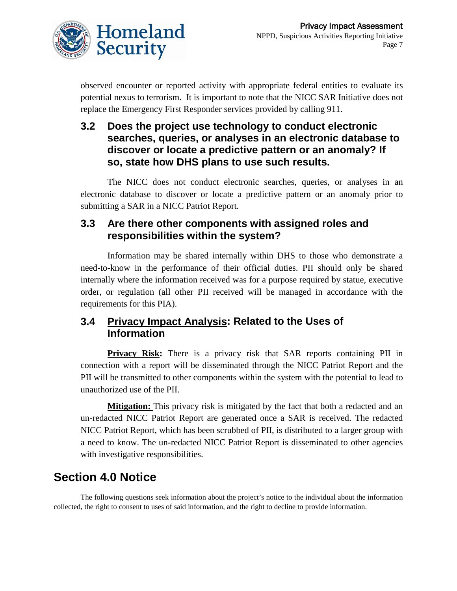

observed encounter or reported activity with appropriate federal entities to evaluate its potential nexus to terrorism. It is important to note that the NICC SAR Initiative does not replace the Emergency First Responder services provided by calling 911.

### **3.2 Does the project use technology to conduct electronic searches, queries, or analyses in an electronic database to discover or locate a predictive pattern or an anomaly? If so, state how DHS plans to use such results.**

The NICC does not conduct electronic searches, queries, or analyses in an electronic database to discover or locate a predictive pattern or an anomaly prior to submitting a SAR in a NICC Patriot Report.

### **3.3 Are there other components with assigned roles and responsibilities within the system?**

Information may be shared internally within DHS to those who demonstrate a need-to-know in the performance of their official duties. PII should only be shared internally where the information received was for a purpose required by statue, executive order, or regulation (all other PII received will be managed in accordance with the requirements for this PIA).

### **3.4 Privacy Impact Analysis: Related to the Uses of Information**

**Privacy Risk:** There is a privacy risk that SAR reports containing PII in connection with a report will be disseminated through the NICC Patriot Report and the PII will be transmitted to other components within the system with the potential to lead to unauthorized use of the PII.

**Mitigation:** This privacy risk is mitigated by the fact that both a redacted and an un-redacted NICC Patriot Report are generated once a SAR is received. The redacted NICC Patriot Report, which has been scrubbed of PII, is distributed to a larger group with a need to know. The un-redacted NICC Patriot Report is disseminated to other agencies with investigative responsibilities.

# **Section 4.0 Notice**

The following questions seek information about the project's notice to the individual about the information collected, the right to consent to uses of said information, and the right to decline to provide information.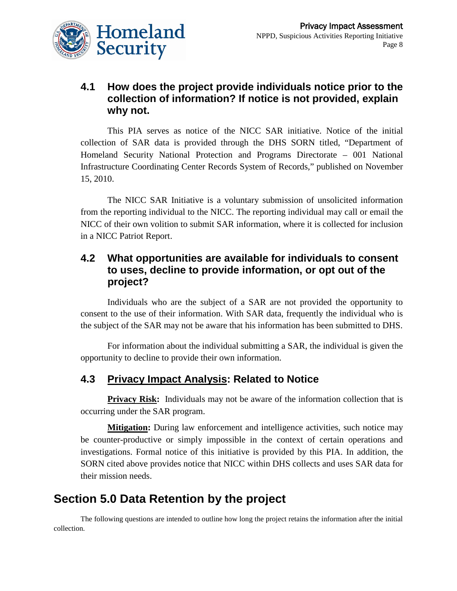

### **4.1 How does the project provide individuals notice prior to the collection of information? If notice is not provided, explain why not.**

This PIA serves as notice of the NICC SAR initiative. Notice of the initial collection of SAR data is provided through the DHS SORN titled, "Department of Homeland Security National Protection and Programs Directorate – 001 National Infrastructure Coordinating Center Records System of Records," published on November 15, 2010.

The NICC SAR Initiative is a voluntary submission of unsolicited information from the reporting individual to the NICC. The reporting individual may call or email the NICC of their own volition to submit SAR information, where it is collected for inclusion in a NICC Patriot Report.

### **4.2 What opportunities are available for individuals to consent to uses, decline to provide information, or opt out of the project?**

Individuals who are the subject of a SAR are not provided the opportunity to consent to the use of their information. With SAR data, frequently the individual who is the subject of the SAR may not be aware that his information has been submitted to DHS.

For information about the individual submitting a SAR, the individual is given the opportunity to decline to provide their own information.

### **4.3 Privacy Impact Analysis: Related to Notice**

**Privacy Risk:** Individuals may not be aware of the information collection that is occurring under the SAR program.

**Mitigation :** During law enforcement and intelligence activities, such notice may be counter-productive or simply impossible in the context of certain operations and investigations. Formal notice of this initiative is provided by this PIA. In addition, the SORN cited above provides notice that NICC within DHS collects and uses SAR data for their mission needs.

# **Section 5.0 Data Retention by the project**

The following questions are intended to outline how long the project retains the information after the initial collection.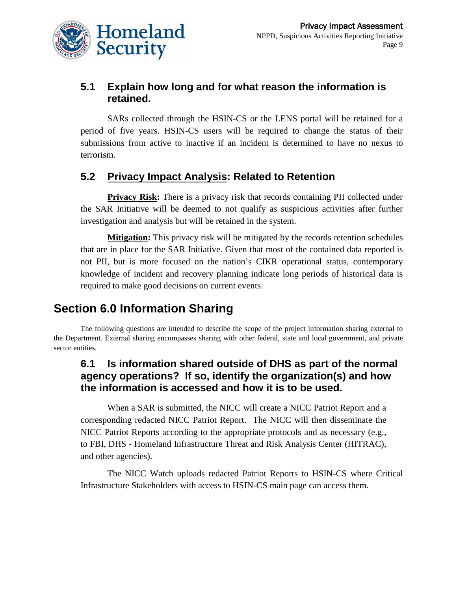

### **5.1 Explain how long and for what reason the information is retained.**

SARs collected through the HSIN-CS or the LENS portal will be retained for a period of five years. HSIN-CS users will be required to change the status of their submissions from active to inactive if an incident is determined to have no nexus to terrorism.

### **5.2 Privacy Impact Analysis: Related to Retention**

**Privacy Risk:** There is a privacy risk that records containing PII collected under the SAR Initiative will be deemed to not qualify as suspicious activities after further investigation and analysis but will be retained in the system.

**Mitigation:** This privacy risk will be mitigated by the records retention schedules that are in place for the SAR Initiative. Given that most of the contained data reported is not PII, but is more focused on the nation's CIKR operational status, contemporary knowledge of incident and recovery planning indicate long periods of historical data is required to make good decisions on current events.

# **Section 6.0 Information Sharing**

The following questions are intended to describe the scope of the project information sharing external to the Department. External sharing encompasses sharing with other federal, state and local government, and private sector entities.

### **6.1 Is information shared outside of DHS as part of the normal agency operations? If so, identify the organization(s) and how the information is accessed and how it is to be used.**

When a SAR is submitted, the NICC will create a NICC Patriot Report and a corresponding redacted NICC Patriot Report. The NICC will then disseminate the NICC Patriot Reports according to the appropriate protocols and as necessary (e.g., to FBI, DHS - Homeland Infrastructure Threat and Risk Analysis Center (HITRAC), and other agencies).

The NICC Watch uploads redacted Patriot Reports to HSIN-CS where Critical Infrastructure Stakeholders with access to HSIN-CS main page can access them.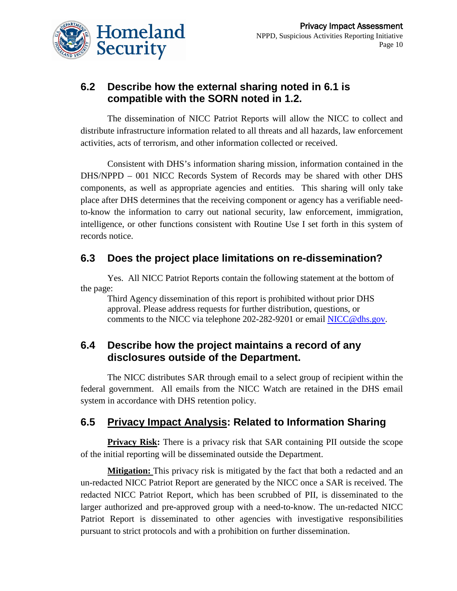

### **6.2 Describe how the external sharing noted in 6.1 is compatible with the SORN noted in 1.2.**

The dissemination of NICC Patriot Reports will allow the NICC to collect and distribute infrastructure information related to all threats and all hazards, law enforcement activities, acts of terrorism, and other information collected or received.

Consistent with DHS's information sharing mission, information contained in the DHS/NPPD – 001 NICC Records System of Records may be shared with other DHS components, as well as appropriate agencies and entities. This sharing will only take place after DHS determines that the receiving component or agency has a verifiable needto-know the information to carry out national security, law enforcement, immigration, intelligence, or other functions consistent with Routine Use I set forth in this system of records notice.

### **6.3 Does the project place limitations on re-dissemination?**

Yes. All NICC Patriot Reports contain the following statement at the bottom of the page:

Third Agency dissemination of this report is prohibited without prior DHS approval. Please address requests for further distribution, questions, or comments to the NICC via telephone 202-282-9201 or email [NICC@dhs.gov.](mailto:NICC@dhs.gov)

### **6.4 Describe how the project maintains a record of any disclosures outside of the Department.**

The NICC distributes SAR through email to a select group of recipient within the federal government. All emails from the NICC Watch are retained in the DHS email system in accordance with DHS retention policy.

### **6.5 Privacy Impact Analysis: Related to Information Sharing**

**Privacy Risk:** There is a privacy risk that SAR containing PII outside the scope of the initial reporting will be disseminated outside the Department.

**Mitigation:** This privacy risk is mitigated by the fact that both a redacted and an un-redacted NICC Patriot Report are generated by the NICC once a SAR is received. The redacted NICC Patriot Report, which has been scrubbed of PII, is disseminated to the larger authorized and pre-approved group with a need-to-know. The un-redacted NICC Patriot Report is disseminated to other agencies with investigative responsibilities pursuant to strict protocols and with a prohibition on further dissemination.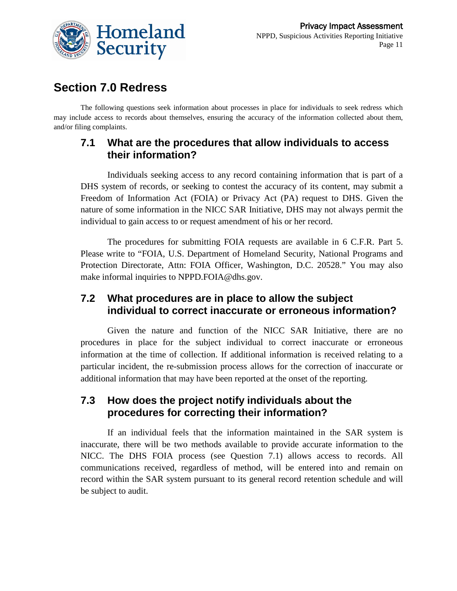

### **Section 7.0 Redress**

The following questions seek information about processes in place for individuals to seek redress which may include access to records about themselves, ensuring the accuracy of the information collected about them, and/or filing complaints.

### **7.1 What are the procedures that allow individuals to access their information?**

Individuals seeking access to any record containing information that is part of a DHS system of records, or seeking to contest the accuracy of its content, may submit a Freedom of Information Act (FOIA) or Privacy Act (PA) request to DHS. Given the nature of some information in the NICC SAR Initiative, DHS may not always permit the individual to gain access to or request amendment of his or her record.

The procedures for submitting FOIA requests are available in 6 C.F.R. Part 5. Please write to "FOIA, U.S. Department of Homeland Security, National Programs and Protection Directorate, Attn: FOIA Officer, Washington, D.C. 20528." You may also make informal inquiries to NPPD.FOIA@dhs.gov.

### **7.2 What procedures are in place to allow the subject individual to correct inaccurate or erroneous information?**

Given the nature and function of the NICC SAR Initiative, there are no procedures in place for the subject individual to correct inaccurate or erroneous information at the time of collection. If additional information is received relating to a particular incident, the re-submission process allows for the correction of inaccurate or additional information that may have been reported at the onset of the reporting.

### **7.3 How does the project notify individuals about the procedures for correcting their information?**

If an individual feels that the information maintained in the SAR system is inaccurate, there will be two methods available to provide accurate information to the NICC. The DHS FOIA process (see Question 7.1) allows access to records. All communications received, regardless of method, will be entered into and remain on record within the SAR system pursuant to its general record retention schedule and will be subject to audit.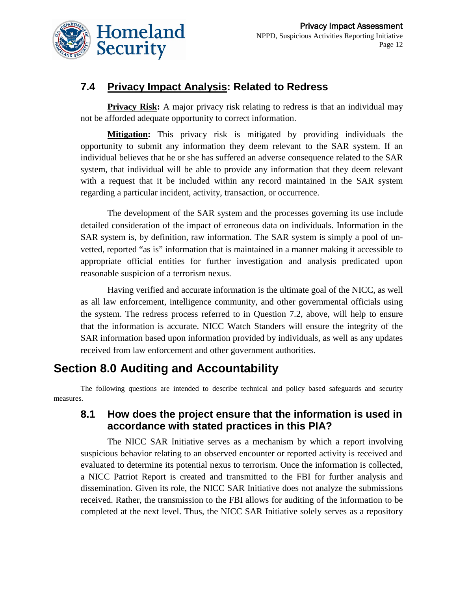

### **7.4 Privacy Impact Analysis: Related to Redress**

**Privacy Risk:** A major privacy risk relating to redress is that an individual may not be afforded adequate opportunity to correct information.

**Mitigation :** This privacy risk is mitigated by providing individuals the opportunity to submit any information they deem relevant to the SAR system. If an individual believes that he or she has suffered an adverse consequence related to the SAR system, that individual will be able to provide any information that they deem relevant with a request that it be included within any record maintained in the SAR system regarding a particular incident, activity, transaction, or occurrence.

The development of the SAR system and the processes governing its use include detailed consideration of the impact of erroneous data on individuals. Information in the SAR system is, by definition, raw information. The SAR system is simply a pool of unvetted, reported "as is" information that is maintained in a manner making it accessible to appropriate official entities for further investigation and analysis predicated upon reasonable suspicion of a terrorism nexus.

Having verified and accurate information is the ultimate goal of the NICC, as well as all law enforcement, intelligence community, and other governmental officials using the system. The redress process referred to in Question 7.2, above, will help to ensure that the information is accurate. NICC Watch Standers will ensure the integrity of the SAR information based upon information provided by individuals, as well as any updates received from law enforcement and other government authorities.

# **Section 8.0 Auditing and Accountability**

The following questions are intended to describe technical and policy based safeguards and security measures.

### **8.1 How does the project ensure that the information is used in accordance with stated practices in this PIA?**

The NICC SAR Initiative serves as a mechanism by which a report involving suspicious behavior relating to an observed encounter or reported activity is received and evaluated to determine its potential nexus to terrorism. Once the information is collected, a NICC Patriot Report is created and transmitted to the FBI for further analysis and dissemination. Given its role, the NICC SAR Initiative does not analyze the submissions received. Rather, the transmission to the FBI allows for auditing of the information to be completed at the next level. Thus, the NICC SAR Initiative solely serves as a repository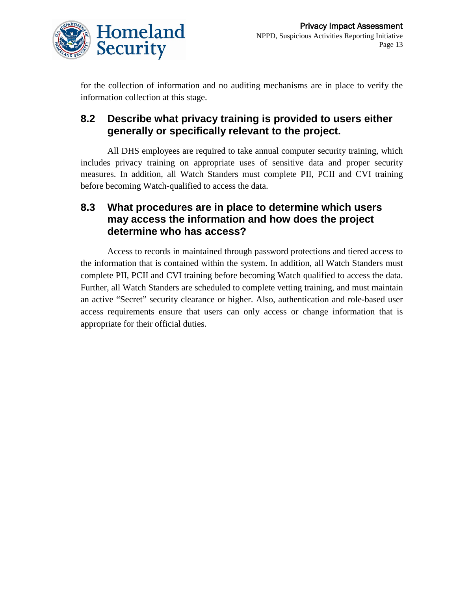

for the collection of information and no auditing mechanisms are in place to verify the information collection at this stage.

### **8.2 Describe what privacy training is provided to users either generally or specifically relevant to the project.**

All DHS employees are required to take annual computer security training, which includes privacy training on appropriate uses of sensitive data and proper security measures. In addition, all Watch Standers must complete PII, PCII and CVI training before becoming Watch-qualified to access the data.

### **8.3 What procedures are in place to determine which users may access the information and how does the project determine who has access?**

Access to records in maintained through password protections and tiered access to the information that is contained within the system. In addition, all Watch Standers must complete PII, PCII and CVI training before becoming Watch qualified to access the data. Further, all Watch Standers are scheduled to complete vetting training, and must maintain an active "Secret" security clearance or higher. Also, authentication and role-based user access requirements ensure that users can only access or change information that is appropriate for their official duties.